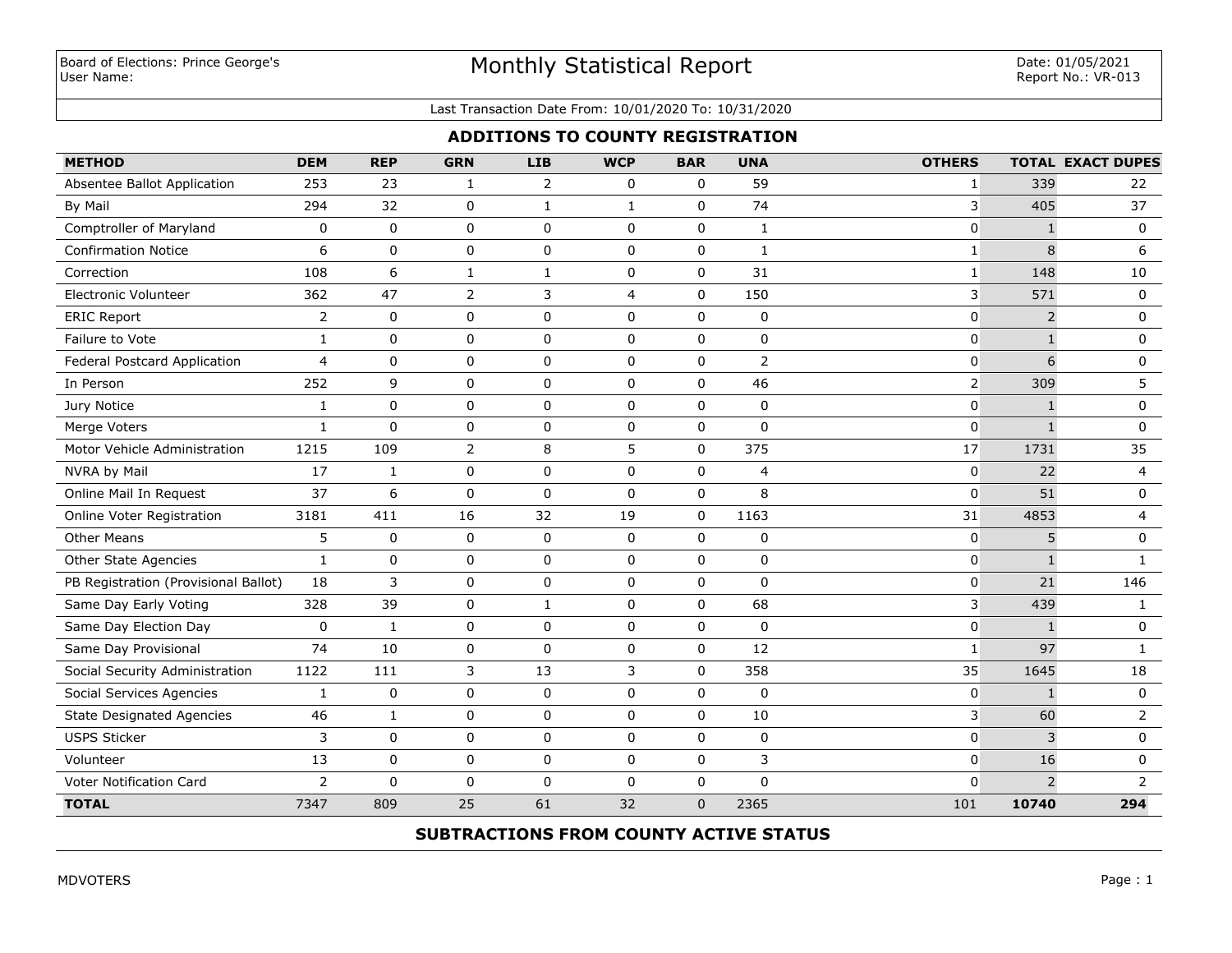# Monthly Statistical Report

#### Last Transaction Date From: 10/01/2020 To: 10/31/2020

## **ADDITIONS TO COUNTY REGISTRATION**

| <b>METHOD</b>                        | <b>DEM</b>     | <b>REP</b>   | <b>GRN</b>     | <b>LIB</b>     | <b>WCP</b>     | <b>BAR</b>     | <b>UNA</b>     | <b>OTHERS</b>  |                | <b>TOTAL EXACT DUPES</b> |
|--------------------------------------|----------------|--------------|----------------|----------------|----------------|----------------|----------------|----------------|----------------|--------------------------|
| Absentee Ballot Application          | 253            | 23           | 1              | $\overline{2}$ | 0              | 0              | 59             | 1              | 339            | 22                       |
| By Mail                              | 294            | 32           | 0              | $\mathbf{1}$   | $\mathbf{1}$   | $\mathbf 0$    | 74             | 3              | 405            | 37                       |
| Comptroller of Maryland              | 0              | $\mathbf 0$  | 0              | 0              | $\mathbf 0$    | $\mathbf 0$    | $\mathbf{1}$   | 0              | $\mathbf{1}$   | 0                        |
| <b>Confirmation Notice</b>           | 6              | $\mathbf 0$  | 0              | 0              | $\mathbf 0$    | 0              | $\mathbf{1}$   | 1              | 8              | 6                        |
| Correction                           | 108            | 6            | 1              | 1              | $\mathbf 0$    | $\mathbf 0$    | 31             | 1              | 148            | 10                       |
| <b>Electronic Volunteer</b>          | 362            | 47           | 2              | 3              | $\overline{4}$ | $\pmb{0}$      | 150            | 3              | 571            | 0                        |
| <b>ERIC Report</b>                   | $\overline{2}$ | $\mathbf 0$  | 0              | 0              | $\mathbf 0$    | $\mathbf 0$    | $\mathbf 0$    | 0              | $\overline{2}$ | 0                        |
| Failure to Vote                      | $\mathbf{1}$   | $\mathbf 0$  | 0              | 0              | $\mathbf 0$    | 0              | 0              | 0              | $\mathbf{1}$   | 0                        |
| Federal Postcard Application         | $\overline{4}$ | $\mathbf 0$  | 0              | 0              | $\mathbf 0$    | $\mathbf 0$    | $\overline{2}$ | 0              | 6              | 0                        |
| In Person                            | 252            | 9            | 0              | 0              | $\mathbf 0$    | 0              | 46             |                | 309            | 5                        |
| Jury Notice                          | $\mathbf{1}$   | $\mathbf 0$  | 0              | 0              | $\mathbf 0$    | $\mathbf 0$    | $\mathbf 0$    | $\Omega$       | $\mathbf{1}$   | $\mathbf 0$              |
| Merge Voters                         | $\mathbf{1}$   | $\mathbf{0}$ | 0              | 0              | $\mathbf 0$    | 0              | $\Omega$       | 0              | $\mathbf{1}$   | 0                        |
| Motor Vehicle Administration         | 1215           | 109          | $\overline{2}$ | 8              | 5              | $\mathbf{0}$   | 375            | 17             | 1731           | 35                       |
| NVRA by Mail                         | 17             | $\mathbf{1}$ | 0              | 0              | $\mathbf 0$    | 0              | 4              | 0              | 22             | 4                        |
| Online Mail In Request               | 37             | 6            | $\mathbf 0$    | $\mathbf 0$    | $\Omega$       | $\Omega$       | 8              | $\overline{0}$ | 51             | $\mathbf 0$              |
| Online Voter Registration            | 3181           | 411          | 16             | 32             | 19             | $\mathbf 0$    | 1163           | 31             | 4853           | 4                        |
| <b>Other Means</b>                   | 5              | $\mathbf 0$  | 0              | 0              | $\mathbf 0$    | $\Omega$       | $\mathbf 0$    | 0              | 5              | $\mathbf 0$              |
| Other State Agencies                 | $\mathbf{1}$   | 0            | 0              | 0              | $\mathbf 0$    | 0              | 0              | 0              | $\mathbf{1}$   | $\mathbf{1}$             |
| PB Registration (Provisional Ballot) | 18             | 3            | 0              | 0              | $\mathbf 0$    | $\mathbf 0$    | $\mathbf 0$    | 0              | 21             | 146                      |
| Same Day Early Voting                | 328            | 39           | 0              | $\mathbf{1}$   | $\mathbf 0$    | $\pmb{0}$      | 68             | 3              | 439            | $\mathbf{1}$             |
| Same Day Election Day                | $\mathbf 0$    | $\mathbf{1}$ | $\mathbf 0$    | 0              | $\mathbf 0$    | $\mathbf 0$    | $\Omega$       | 0              | $\mathbf{1}$   | 0                        |
| Same Day Provisional                 | 74             | 10           | $\mathbf 0$    | 0              | $\mathbf 0$    | $\pmb{0}$      | 12             | 1              | 97             | 1                        |
| Social Security Administration       | 1122           | 111          | 3              | 13             | 3              | $\pmb{0}$      | 358            | 35             | 1645           | 18                       |
| Social Services Agencies             | $\mathbf{1}$   | 0            | $\pmb{0}$      | 0              | $\mathbf 0$    | $\pmb{0}$      | 0              | 0              | $\mathbf{1}$   | 0                        |
| <b>State Designated Agencies</b>     | 46             | $\mathbf{1}$ | 0              | 0              | $\mathbf 0$    | $\mathbf 0$    | 10             | 3              | 60             | $\overline{2}$           |
| <b>USPS Sticker</b>                  | 3              | $\pmb{0}$    | $\pmb{0}$      | 0              | $\mathbf 0$    | $\pmb{0}$      | $\pmb{0}$      | 0              | 3              | 0                        |
| Volunteer                            | 13             | 0            | 0              | 0              | $\mathbf 0$    | $\pmb{0}$      | 3              | 0              | 16             | 0                        |
| Voter Notification Card              | $\overline{2}$ | $\mathbf 0$  | 0              | 0              | $\mathbf 0$    | $\pmb{0}$      | $\mathbf 0$    | $\Omega$       | $\overline{2}$ | $\overline{2}$           |
| <b>TOTAL</b>                         | 7347           | 809          | 25             | 61             | 32             | $\overline{0}$ | 2365           | 101            | 10740          | 294                      |

## **SUBTRACTIONS FROM COUNTY ACTIVE STATUS**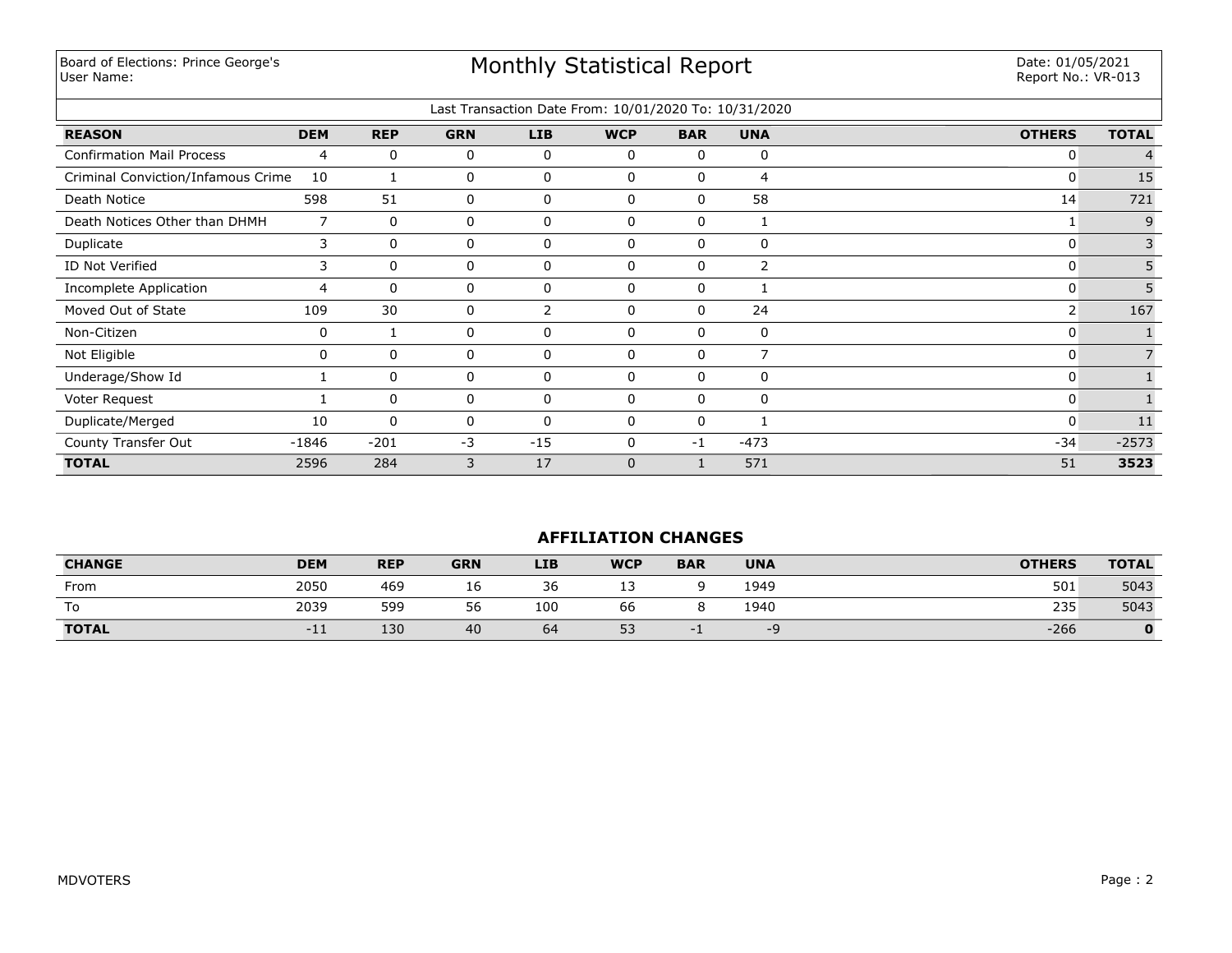Board of Elections: Prince George's User Name:

# Monthly Statistical Report

Date: 01/05/2021 Report No.: VR-013

|                                    |                |             |            |          | Last Transaction Date From: 10/01/2020 To: 10/31/2020 |              |                |               |              |
|------------------------------------|----------------|-------------|------------|----------|-------------------------------------------------------|--------------|----------------|---------------|--------------|
| <b>REASON</b>                      | <b>DEM</b>     | <b>REP</b>  | <b>GRN</b> | LIB      | <b>WCP</b>                                            | <b>BAR</b>   | <b>UNA</b>     | <b>OTHERS</b> | <b>TOTAL</b> |
| <b>Confirmation Mail Process</b>   | 4              | 0           | 0          | 0        | $\mathbf 0$                                           | 0            | $\Omega$       | 0             |              |
| Criminal Conviction/Infamous Crime | 10             | 1           | 0          | 0        | $\mathbf{0}$                                          | 0            | 4              | 0             | 15           |
| Death Notice                       | 598            | 51          | 0          | 0        | $\mathbf 0$                                           | 0            | 58             | 14            | 721          |
| Death Notices Other than DHMH      | $\overline{7}$ | $\mathbf 0$ | 0          | 0        | $\mathbf{0}$                                          | 0            |                |               | 9            |
| Duplicate                          | 3              | 0           | 0          | 0        | $\mathbf{0}$                                          | 0            | 0              | 0             | 3            |
| ID Not Verified                    | 3              | $\mathbf 0$ | 0          | 0        | $\mathbf{0}$                                          | 0            | $\overline{2}$ | 0             | 5            |
| Incomplete Application             | 4              | 0           | 0          | 0        | $\mathbf 0$                                           | 0            |                | 0             |              |
| Moved Out of State                 | 109            | 30          | 0          | 2        | $\mathbf{0}$                                          | $\mathbf{0}$ | 24             | 2             | 167          |
| Non-Citizen                        | 0              |             | 0          | 0        | $\mathbf 0$                                           | 0            | 0              | 0             |              |
| Not Eligible                       | 0              | 0           | 0          | 0        | 0                                                     | 0            | $\overline{ }$ | 0             |              |
| Underage/Show Id                   |                | 0           | 0          | 0        | $\mathbf 0$                                           | 0            | 0              | 0             |              |
| Voter Request                      |                | 0           | 0          | 0        | $\mathbf{0}$                                          | $\mathbf{0}$ | $\mathbf{0}$   | 0             |              |
| Duplicate/Merged                   | 10             | 0           | 0          | $\Omega$ | $\Omega$                                              | 0            |                | $\Omega$      | 11           |
| County Transfer Out                | $-1846$        | $-201$      | $-3$       | $-15$    | $\Omega$                                              | $-1$         | $-473$         | $-34$         | $-2573$      |
| <b>TOTAL</b>                       | 2596           | 284         | 3          | 17       | $\mathbf{0}$                                          |              | 571            | 51            | 3523         |

## **AFFILIATION CHANGES**

| <b>CHANGE</b> | <b>DEM</b> | <b>REP</b> | <b>GRN</b> | <b>LIB</b> | <b>WCP</b> | <b>BAR</b> | <b>UNA</b> | <b>OTHERS</b> | <b>TOTAL</b> |
|---------------|------------|------------|------------|------------|------------|------------|------------|---------------|--------------|
| From          | 2050       | 469        | Τp         | 36         | --         |            | 1949       | 501           | 5043         |
|               | 2039       | 599        | 56         | 100        | 66         |            | 1940       | 235           | 5043         |
| <b>TOTAL</b>  | $-11$      | 130        | 40         | 64         | 53         |            | -4         | $-266$        |              |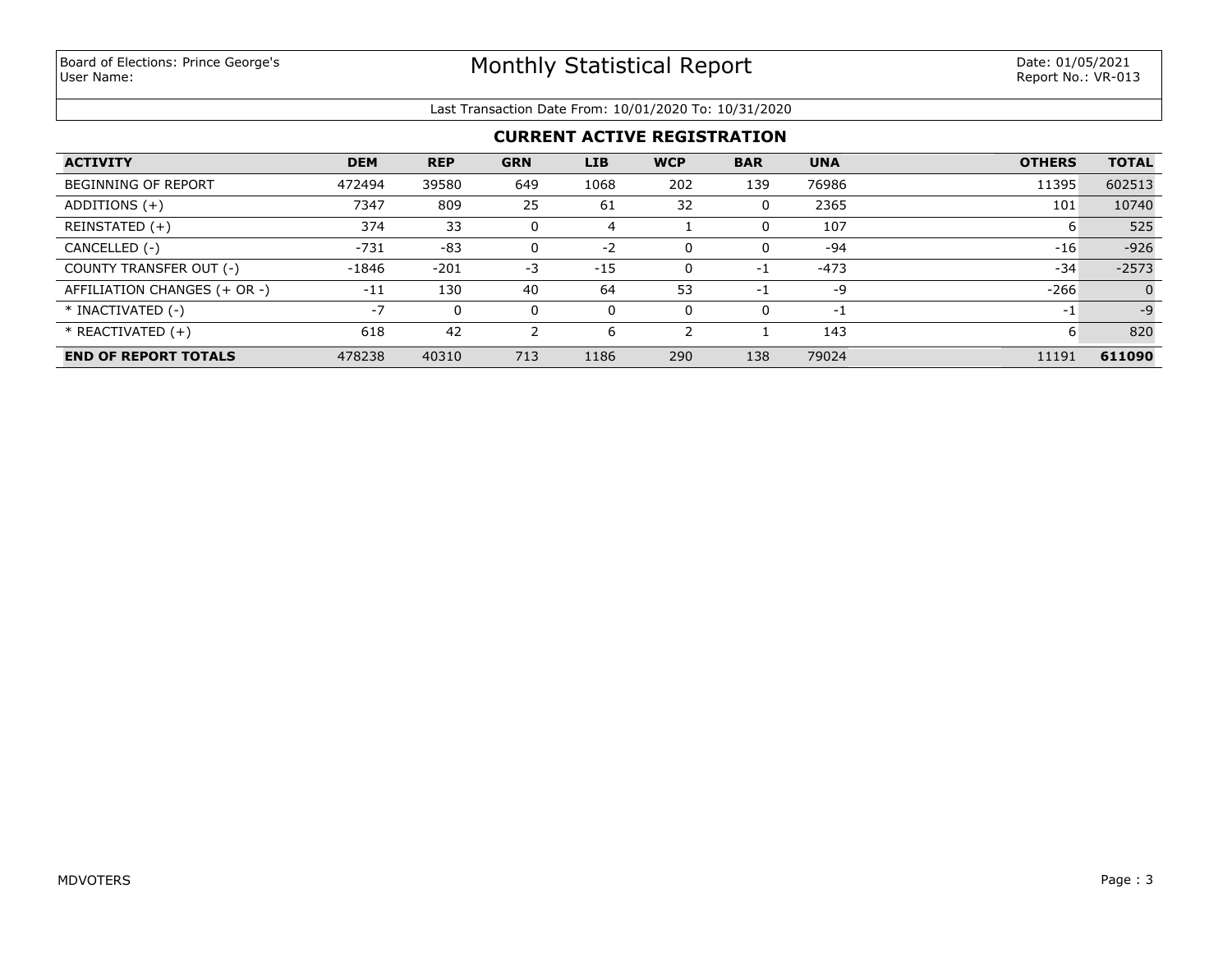#### Last Transaction Date From: 10/01/2020 To: 10/31/2020

## **CURRENT ACTIVE REGISTRATION**

| <b>ACTIVITY</b>              | <b>DEM</b> | <b>REP</b> | <b>GRN</b> | <b>LIB</b> | <b>WCP</b> | <b>BAR</b> | <b>UNA</b> | <b>OTHERS</b> | <b>TOTAL</b> |
|------------------------------|------------|------------|------------|------------|------------|------------|------------|---------------|--------------|
| <b>BEGINNING OF REPORT</b>   | 472494     | 39580      | 649        | 1068       | 202        | 139        | 76986      | 11395         | 602513       |
| ADDITIONS $(+)$              | 7347       | 809        | 25         | 61         | 32         | 0          | 2365       | 101           | 10740        |
| REINSTATED (+)               | 374        | 33         | 0          |            |            | 0          | 107        | b             | 525          |
| CANCELLED (-)                | $-731$     | -83        | 0          | $-2$       |            | 0          | $-94$      | $-16$         | $-926$       |
| COUNTY TRANSFER OUT (-)      | -1846      | $-201$     | -3         | $-15$      |            | $-1$       | $-473$     | $-34$         | $-2573$      |
| AFFILIATION CHANGES (+ OR -) | $-11$      | 130        | 40         | 64         | 53         | $-1$       | -9         | $-266$        | $\Omega$     |
| * INACTIVATED (-)            | $-7$       | 0          | 0          | 0          |            | 0          | -1         | $-1$          | $-9$         |
| $*$ REACTIVATED $(+)$        | 618        | 42         | 2          | 6          |            |            | 143        | 6             | 820          |
| <b>END OF REPORT TOTALS</b>  | 478238     | 40310      | 713        | 1186       | 290        | 138        | 79024      | 11191         | 611090       |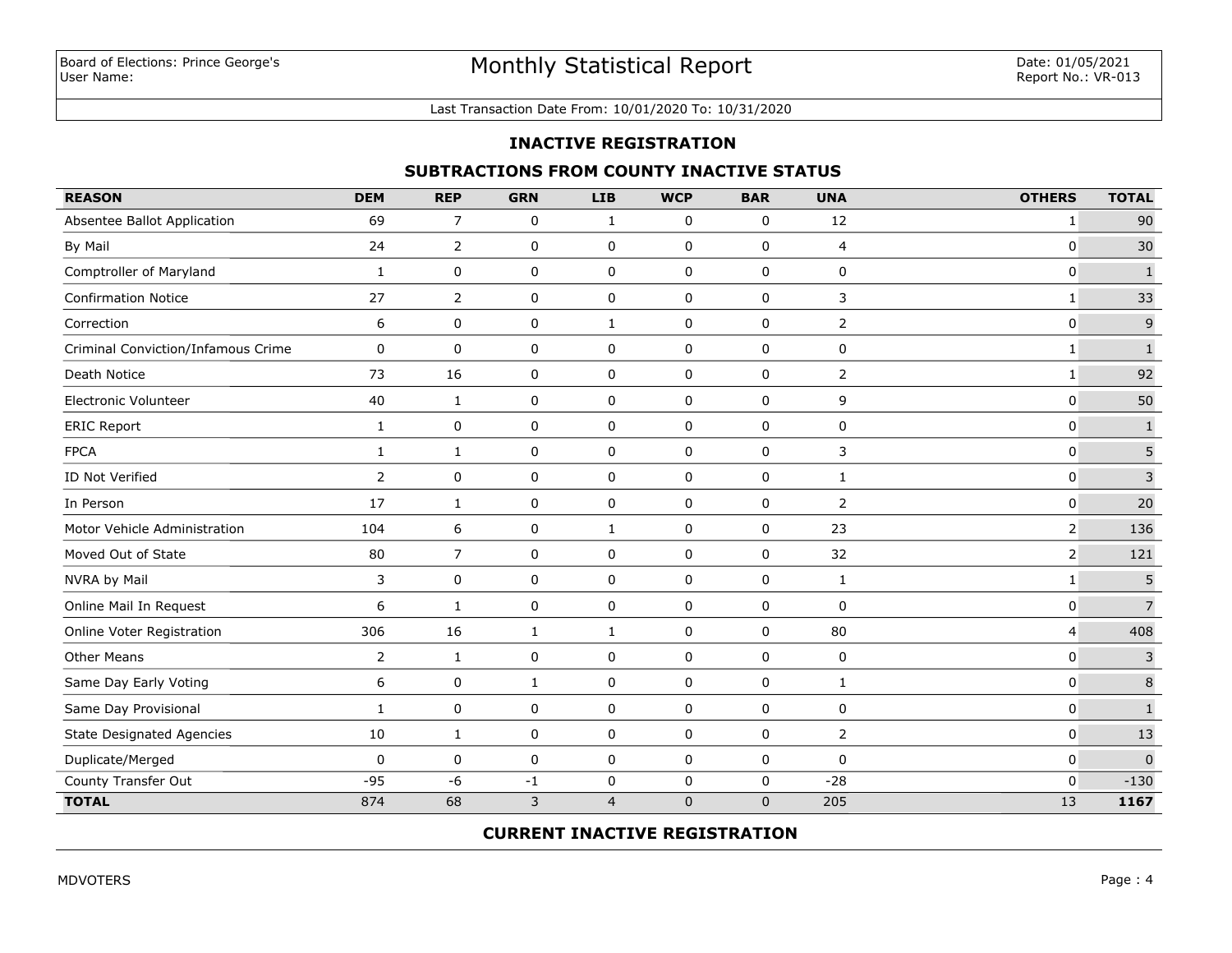#### Last Transaction Date From: 10/01/2020 To: 10/31/2020

### **INACTIVE REGISTRATION**

### **SUBTRACTIONS FROM COUNTY INACTIVE STATUS**

| <b>REASON</b>                      | <b>DEM</b>     | <b>REP</b>     | <b>GRN</b>   | <b>LIB</b>     | <b>WCP</b>  | <b>BAR</b>   | <b>UNA</b>     | <b>OTHERS</b>  | <b>TOTAL</b>   |
|------------------------------------|----------------|----------------|--------------|----------------|-------------|--------------|----------------|----------------|----------------|
| Absentee Ballot Application        | 69             | $\overline{7}$ | 0            | $\mathbf{1}$   | 0           | 0            | 12             | $\mathbf{1}$   | 90             |
| By Mail                            | 24             | $\overline{2}$ | $\pmb{0}$    | 0              | $\mathbf 0$ | $\pmb{0}$    | 4              | $\mathbf 0$    | 30             |
| Comptroller of Maryland            | 1              | 0              | $\mathbf 0$  | 0              | $\mathbf 0$ | $\mathsf 0$  | $\mathbf 0$    | $\mathbf 0$    | $\mathbf 1$    |
| <b>Confirmation Notice</b>         | 27             | $\overline{2}$ | 0            | 0              | 0           | 0            | 3              | $\mathbf{1}$   | 33             |
| Correction                         | 6              | 0              | 0            | $\mathbf{1}$   | 0           | 0            | 2              | $\mathbf 0$    | $\mathsf 9$    |
| Criminal Conviction/Infamous Crime | 0              | 0              | 0            | 0              | 0           | 0            | 0              | $\mathbf{1}$   | $\mathbf 1$    |
| Death Notice                       | 73             | 16             | 0            | 0              | 0           | 0            | $\overline{2}$ | $\mathbf{1}$   | 92             |
| Electronic Volunteer               | 40             | $\mathbf{1}$   | 0            | 0              | $\mathbf 0$ | $\mathbf 0$  | 9              | $\mathbf 0$    | 50             |
| <b>ERIC Report</b>                 | $\mathbf{1}$   | 0              | 0            | 0              | $\pmb{0}$   | 0            | 0              | $\mathbf 0$    | $\mathbf 1$    |
| <b>FPCA</b>                        | $\mathbf{1}$   | $\mathbf{1}$   | 0            | 0              | 0           | 0            | 3              | $\mathbf 0$    | 5              |
| ID Not Verified                    | $\overline{2}$ | 0              | $\mathbf 0$  | 0              | $\mathbf 0$ | $\pmb{0}$    | 1              | $\mathbf 0$    | $\overline{3}$ |
| In Person                          | 17             | $\mathbf{1}$   | $\mathbf 0$  | 0              | $\mathbf 0$ | $\mathbf 0$  | $\overline{2}$ | $\mathbf 0$    | 20             |
| Motor Vehicle Administration       | 104            | 6              | 0            | $\mathbf{1}$   | $\mathbf 0$ | $\mathbf 0$  | 23             | $\overline{2}$ | 136            |
| Moved Out of State                 | 80             | $\overline{7}$ | 0            | 0              | 0           | 0            | 32             | $\overline{2}$ | 121            |
| NVRA by Mail                       | 3              | 0              | 0            | 0              | 0           | 0            | 1              | 1              | 5              |
| Online Mail In Request             | 6              | $\mathbf{1}$   | $\pmb{0}$    | 0              | 0           | 0            | 0              | 0              | $\overline{7}$ |
| Online Voter Registration          | 306            | 16             | $\mathbf{1}$ | $\mathbf{1}$   | $\pmb{0}$   | $\pmb{0}$    | 80             | 4              | 408            |
| <b>Other Means</b>                 | $\overline{2}$ | $\mathbf{1}$   | $\pmb{0}$    | 0              | $\pmb{0}$   | $\pmb{0}$    | $\pmb{0}$      | $\mathbf 0$    | $\mathbf{3}$   |
| Same Day Early Voting              | 6              | 0              | $\mathbf{1}$ | $\pmb{0}$      | $\mathbf 0$ | $\pmb{0}$    | $\mathbf{1}$   | $\mathbf 0$    | $\bf 8$        |
| Same Day Provisional               | 1              | 0              | $\pmb{0}$    | 0              | $\mathbf 0$ | $\pmb{0}$    | $\mathbf 0$    | $\mathbf 0$    | $\mathbf 1$    |
| <b>State Designated Agencies</b>   | 10             | $\mathbf{1}$   | $\pmb{0}$    | 0              | $\mathbf 0$ | $\pmb{0}$    | $\overline{2}$ | $\mathbf 0$    | 13             |
| Duplicate/Merged                   | 0              | 0              | 0            | 0              | 0           | 0            | 0              | $\mathbf 0$    | $\mathbf{0}$   |
| County Transfer Out                | $-95$          | $-6$           | $-1$         | 0              | $\mathbf 0$ | 0            | $-28$          | $\mathbf{0}$   | $-130$         |
| <b>TOTAL</b>                       | 874            | 68             | 3            | $\overline{4}$ | $\mathbf 0$ | $\mathbf{0}$ | 205            | 13             | 1167           |

### **CURRENT INACTIVE REGISTRATION**